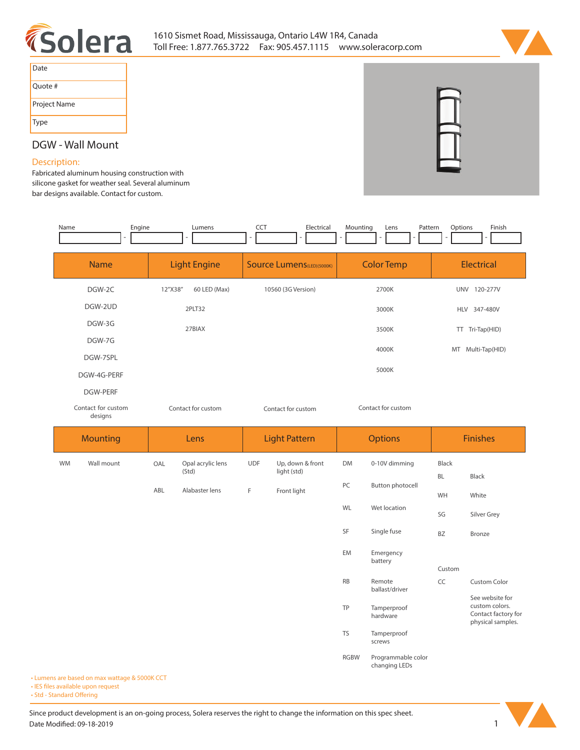



| Date         |
|--------------|
| Ouote #      |
| Project Name |
| Type         |

# **DGW - Wall Mount**

## **Description:**

**Fabricated aluminum housing construction with silicone gasket for weather seal. Several aluminum bar designs available. Contact for custom.**

| Name            | Engine                        |                         | Lumens                     | <b>CCT</b>         | Electrical                       | Mounting  | Lens<br>Pattern         | Options         | Finish                                                                        |  |
|-----------------|-------------------------------|-------------------------|----------------------------|--------------------|----------------------------------|-----------|-------------------------|-----------------|-------------------------------------------------------------------------------|--|
|                 | <b>Name</b>                   |                         | <b>Light Engine</b>        |                    | <b>Source Lumens(LED)(5000K)</b> |           | <b>Color Temp</b>       |                 | Electrical                                                                    |  |
|                 | DGW-2C                        | 12"X38"<br>60 LED (Max) |                            | 10560 (3G Version) |                                  | 2700K     |                         | UNV 120-277V    |                                                                               |  |
|                 | DGW-2UD                       |                         | 2PLT32                     |                    |                                  |           | 3000K                   |                 | HLV 347-480V                                                                  |  |
|                 | DGW-3G                        | 27BIAX                  |                            |                    |                                  | 3500K     |                         | TT Tri-Tap(HID) |                                                                               |  |
|                 | DGW-7G                        |                         |                            |                    |                                  |           | 4000K                   |                 | MT Multi-Tap(HID)                                                             |  |
|                 | DGW-7SPL<br>DGW-4G-PERF       |                         |                            |                    |                                  |           | 5000K                   |                 |                                                                               |  |
| <b>DGW-PERF</b> |                               |                         |                            |                    |                                  |           |                         |                 |                                                                               |  |
|                 | Contact for custom<br>designs |                         | Contact for custom         |                    | Contact for custom               |           | Contact for custom      |                 |                                                                               |  |
|                 | Mounting                      |                         | Lens                       |                    | <b>Light Pattern</b>             |           | <b>Options</b>          | <b>Finishes</b> |                                                                               |  |
| <b>WM</b>       | Wall mount                    | OAL                     | Opal acrylic lens<br>(Std) | <b>UDF</b>         | Up, down & front<br>light (std)  | <b>DM</b> | 0-10V dimming           | Black           |                                                                               |  |
|                 |                               | ABL                     | Alabaster lens             | $\mathsf F$        | Front light                      | PC        | <b>Button photocell</b> | BL              | Black                                                                         |  |
|                 |                               |                         |                            |                    |                                  | WL        | Wet location            | WH              | White                                                                         |  |
|                 |                               |                         |                            |                    |                                  |           |                         | SG              | Silver Grey                                                                   |  |
|                 |                               |                         |                            |                    |                                  | SF        | Single fuse             | <b>BZ</b>       | Bronze                                                                        |  |
|                 |                               |                         |                            |                    |                                  | EM        | Emergency<br>battery    |                 |                                                                               |  |
|                 |                               |                         |                            |                    |                                  | RB        | Remote                  | Custom<br>CC    | <b>Custom Color</b>                                                           |  |
|                 |                               |                         |                            |                    |                                  |           | ballast/driver          |                 |                                                                               |  |
|                 |                               |                         |                            |                    |                                  | TP        | Tamperproof<br>hardware |                 | See website for<br>custom colors.<br>Contact factory for<br>physical samples. |  |
|                 |                               |                         |                            |                    |                                  | <b>TS</b> | Tamperproof<br>screws   |                 |                                                                               |  |

**• Lumens are based on max wattage & 5000K CCT**

**• IES files available upon request** 

**• Std - Standard Offering** 

Since product development is an on-going process, Solera reserves the right to change the information on this spec sheet. **Date Modified: 09-18-2019** 1